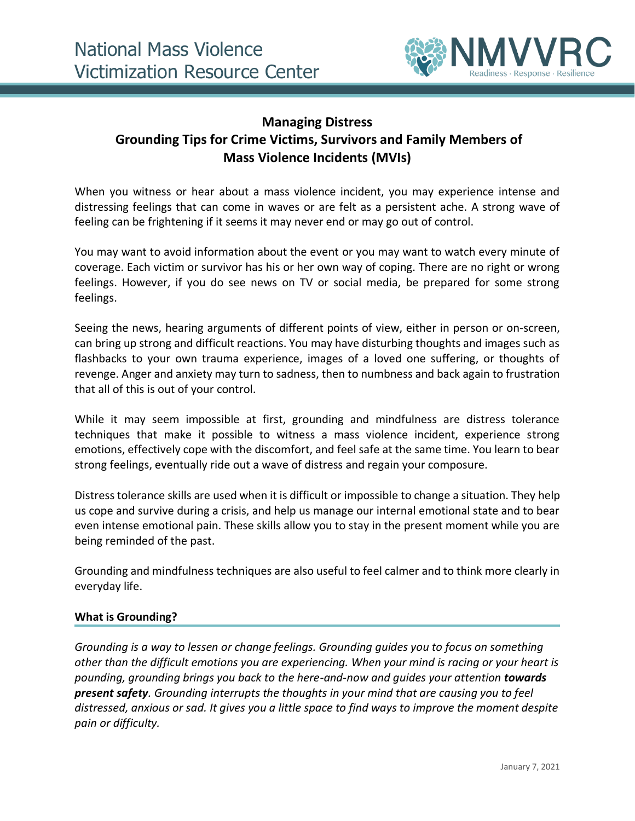

# **Managing Distress Grounding Tips for Crime Victims, Survivors and Family Members of Mass Violence Incidents (MVIs)**

When you witness or hear about a mass violence incident, you may experience intense and distressing feelings that can come in waves or are felt as a persistent ache. A strong wave of feeling can be frightening if it seems it may never end or may go out of control.

You may want to avoid information about the event or you may want to watch every minute of coverage. Each victim or survivor has his or her own way of coping. There are no right or wrong feelings. However, if you do see news on TV or social media, be prepared for some strong feelings.

Seeing the news, hearing arguments of different points of view, either in person or on-screen, can bring up strong and difficult reactions. You may have disturbing thoughts and images such as flashbacks to your own trauma experience, images of a loved one suffering, or thoughts of revenge. Anger and anxiety may turn to sadness, then to numbness and back again to frustration that all of this is out of your control.

While it may seem impossible at first, grounding and mindfulness are distress tolerance techniques that make it possible to witness a mass violence incident, experience strong emotions, effectively cope with the discomfort, and feel safe at the same time. You learn to bear strong feelings, eventually ride out a wave of distress and regain your composure.

Distress tolerance skills are used when it is difficult or impossible to change a situation. They help us cope and survive during a crisis, and help us manage our internal emotional state and to bear even intense emotional pain. These skills allow you to stay in the present moment while you are being reminded of the past.

Grounding and mindfulness techniques are also useful to feel calmer and to think more clearly in everyday life.

# **What is Grounding?**

*Grounding is a way to lessen or change feelings. Grounding guides you to focus on something other than the difficult emotions you are experiencing. When your mind is racing or your heart is pounding, grounding brings you back to the here-and-now and guides your attention towards present safety. Grounding interrupts the thoughts in your mind that are causing you to feel distressed, anxious or sad. It gives you a little space to find ways to improve the moment despite pain or difficulty.*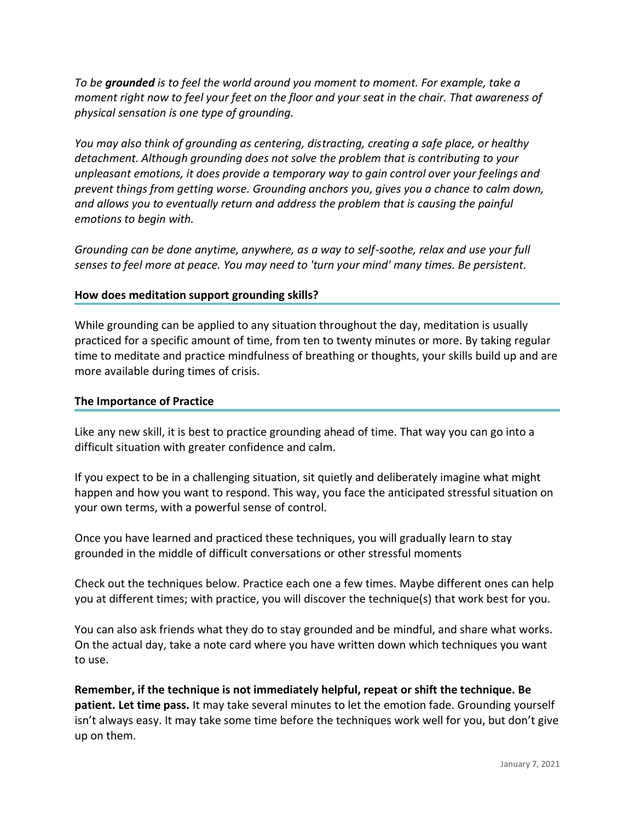*To be grounded is to feel the world around you moment to moment. For example, take a moment right now to feel your feet on the floor and your seat in the chair. That awareness of physical sensation is one type of grounding.* 

*You may also think of grounding as centering, distracting, creating a safe place, or healthy detachment. Although grounding does not solve the problem that is contributing to your unpleasant emotions, it does provide a temporary way to gain control over your feelings and prevent things from getting worse. Grounding anchors you, gives you a chance to calm down, and allows you to eventually return and address the problem that is causing the painful emotions to begin with.* 

*Grounding can be done anytime, anywhere, as a way to self-soothe, relax and use your full senses to feel more at peace. You may need to 'turn your mind' many times. Be persistent.*

## **How does meditation support grounding skills?**

While grounding can be applied to any situation throughout the day, meditation is usually practiced for a specific amount of time, from ten to twenty minutes or more. By taking regular time to meditate and practice mindfulness of breathing or thoughts, your skills build up and are more available during times of crisis.

#### **The Importance of Practice**

Like any new skill, it is best to practice grounding ahead of time. That way you can go into a difficult situation with greater confidence and calm.

If you expect to be in a challenging situation, sit quietly and deliberately imagine what might happen and how you want to respond. This way, you face the anticipated stressful situation on your own terms, with a powerful sense of control.

Once you have learned and practiced these techniques, you will gradually learn to stay grounded in the middle of difficult conversations or other stressful moments

Check out the techniques below. Practice each one a few times. Maybe different ones can help you at different times; with practice, you will discover the technique(s) that work best for you.

You can also ask friends what they do to stay grounded and be mindful, and share what works. On the actual day, take a note card where you have written down which techniques you want to use.

**Remember, if the technique is not immediately helpful, repeat or shift the technique. Be patient. Let time pass.** It may take several minutes to let the emotion fade. Grounding yourself isn't always easy. It may take some time before the techniques work well for you, but don't give up on them.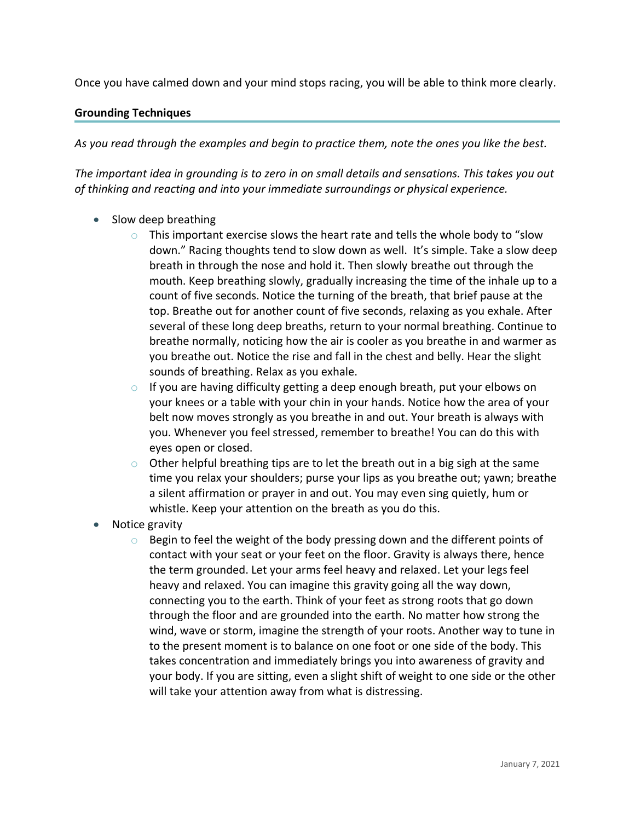Once you have calmed down and your mind stops racing, you will be able to think more clearly.

## **Grounding Techniques**

*As you read through the examples and begin to practice them, note the ones you like the best.*

*The important idea in grounding is to zero in on small details and sensations. This takes you out of thinking and reacting and into your immediate surroundings or physical experience.*

- Slow deep breathing
	- $\circ$  This important exercise slows the heart rate and tells the whole body to "slow down." Racing thoughts tend to slow down as well. It's simple. Take a slow deep breath in through the nose and hold it. Then slowly breathe out through the mouth. Keep breathing slowly, gradually increasing the time of the inhale up to a count of five seconds. Notice the turning of the breath, that brief pause at the top. Breathe out for another count of five seconds, relaxing as you exhale. After several of these long deep breaths, return to your normal breathing. Continue to breathe normally, noticing how the air is cooler as you breathe in and warmer as you breathe out. Notice the rise and fall in the chest and belly. Hear the slight sounds of breathing. Relax as you exhale.
	- o If you are having difficulty getting a deep enough breath, put your elbows on your knees or a table with your chin in your hands. Notice how the area of your belt now moves strongly as you breathe in and out. Your breath is always with you. Whenever you feel stressed, remember to breathe! You can do this with eyes open or closed.
	- $\circ$  Other helpful breathing tips are to let the breath out in a big sigh at the same time you relax your shoulders; purse your lips as you breathe out; yawn; breathe a silent affirmation or prayer in and out. You may even sing quietly, hum or whistle. Keep your attention on the breath as you do this.
- Notice gravity
	- $\circ$  Begin to feel the weight of the body pressing down and the different points of contact with your seat or your feet on the floor. Gravity is always there, hence the term grounded. Let your arms feel heavy and relaxed. Let your legs feel heavy and relaxed. You can imagine this gravity going all the way down, connecting you to the earth. Think of your feet as strong roots that go down through the floor and are grounded into the earth. No matter how strong the wind, wave or storm, imagine the strength of your roots. Another way to tune in to the present moment is to balance on one foot or one side of the body. This takes concentration and immediately brings you into awareness of gravity and your body. If you are sitting, even a slight shift of weight to one side or the other will take your attention away from what is distressing.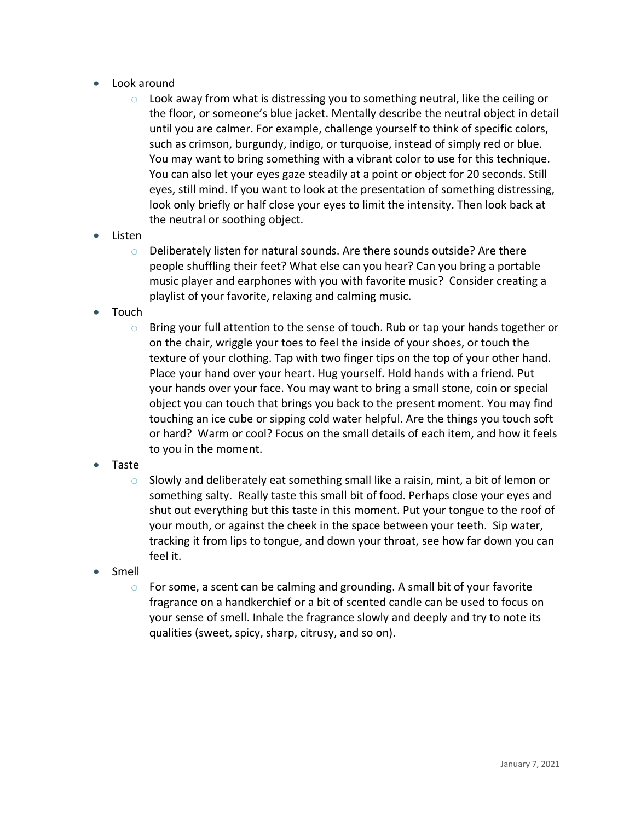- Look around
	- $\circ$  Look away from what is distressing you to something neutral, like the ceiling or the floor, or someone's blue jacket. Mentally describe the neutral object in detail until you are calmer. For example, challenge yourself to think of specific colors, such as crimson, burgundy, indigo, or turquoise, instead of simply red or blue. You may want to bring something with a vibrant color to use for this technique. You can also let your eyes gaze steadily at a point or object for 20 seconds. Still eyes, still mind. If you want to look at the presentation of something distressing, look only briefly or half close your eyes to limit the intensity. Then look back at the neutral or soothing object.
- Listen
	- o Deliberately listen for natural sounds. Are there sounds outside? Are there people shuffling their feet? What else can you hear? Can you bring a portable music player and earphones with you with favorite music? Consider creating a playlist of your favorite, relaxing and calming music.
- Touch
	- $\circ$  Bring your full attention to the sense of touch. Rub or tap your hands together or on the chair, wriggle your toes to feel the inside of your shoes, or touch the texture of your clothing. Tap with two finger tips on the top of your other hand. Place your hand over your heart. Hug yourself. Hold hands with a friend. Put your hands over your face. You may want to bring a small stone, coin or special object you can touch that brings you back to the present moment. You may find touching an ice cube or sipping cold water helpful. Are the things you touch soft or hard? Warm or cool? Focus on the small details of each item, and how it feels to you in the moment.
- Taste
	- $\circ$  Slowly and deliberately eat something small like a raisin, mint, a bit of lemon or something salty. Really taste this small bit of food. Perhaps close your eyes and shut out everything but this taste in this moment. Put your tongue to the roof of your mouth, or against the cheek in the space between your teeth. Sip water, tracking it from lips to tongue, and down your throat, see how far down you can feel it.
- Smell
	- o For some, a scent can be calming and grounding. A small bit of your favorite fragrance on a handkerchief or a bit of scented candle can be used to focus on your sense of smell. Inhale the fragrance slowly and deeply and try to note its qualities (sweet, spicy, sharp, citrusy, and so on).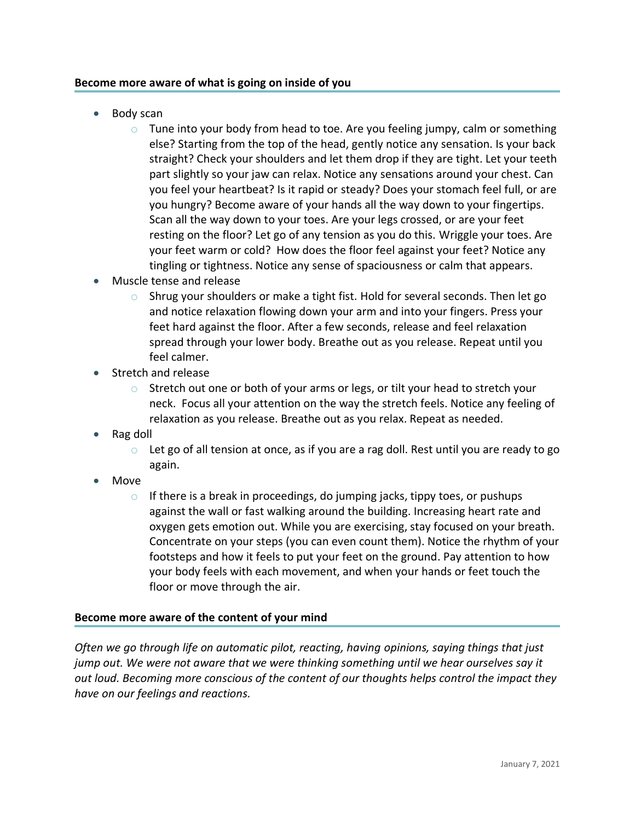## **Become more aware of what is going on inside of you**

- Body scan
	- $\circ$  Tune into your body from head to toe. Are you feeling jumpy, calm or something else? Starting from the top of the head, gently notice any sensation. Is your back straight? Check your shoulders and let them drop if they are tight. Let your teeth part slightly so your jaw can relax. Notice any sensations around your chest. Can you feel your heartbeat? Is it rapid or steady? Does your stomach feel full, or are you hungry? Become aware of your hands all the way down to your fingertips. Scan all the way down to your toes. Are your legs crossed, or are your feet resting on the floor? Let go of any tension as you do this. Wriggle your toes. Are your feet warm or cold? How does the floor feel against your feet? Notice any tingling or tightness. Notice any sense of spaciousness or calm that appears.
- Muscle tense and release
	- o Shrug your shoulders or make a tight fist. Hold for several seconds. Then let go and notice relaxation flowing down your arm and into your fingers. Press your feet hard against the floor. After a few seconds, release and feel relaxation spread through your lower body. Breathe out as you release. Repeat until you feel calmer.
- Stretch and release
	- $\circ$  Stretch out one or both of your arms or legs, or tilt your head to stretch your neck. Focus all your attention on the way the stretch feels. Notice any feeling of relaxation as you release. Breathe out as you relax. Repeat as needed.
- Rag doll
	- o Let go of all tension at once, as if you are a rag doll. Rest until you are ready to go again.
- Move
	- $\circ$  If there is a break in proceedings, do jumping jacks, tippy toes, or pushups against the wall or fast walking around the building. Increasing heart rate and oxygen gets emotion out. While you are exercising, stay focused on your breath. Concentrate on your steps (you can even count them). Notice the rhythm of your footsteps and how it feels to put your feet on the ground. Pay attention to how your body feels with each movement, and when your hands or feet touch the floor or move through the air.

#### **Become more aware of the content of your mind**

*Often we go through life on automatic pilot, reacting, having opinions, saying things that just jump out. We were not aware that we were thinking something until we hear ourselves say it out loud. Becoming more conscious of the content of our thoughts helps control the impact they have on our feelings and reactions.*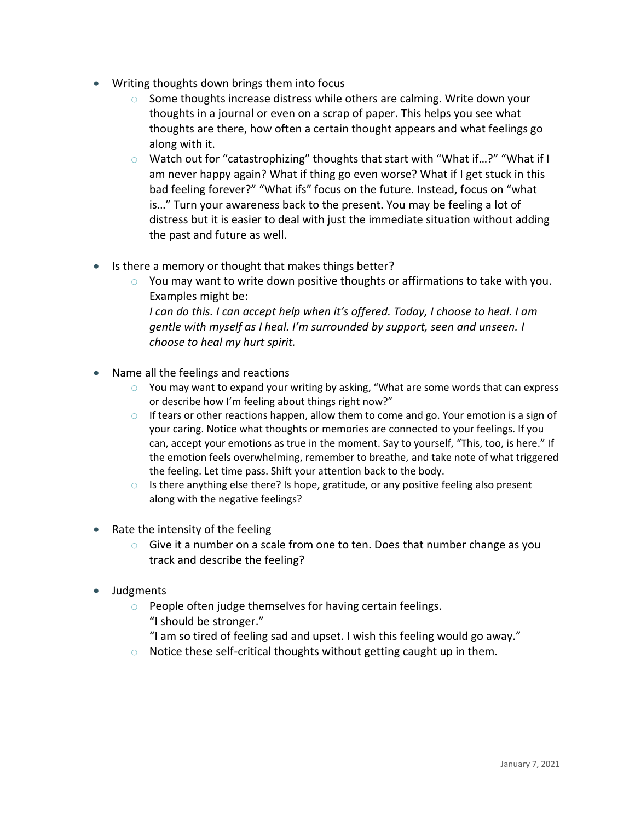- Writing thoughts down brings them into focus
	- $\circ$  Some thoughts increase distress while others are calming. Write down your thoughts in a journal or even on a scrap of paper. This helps you see what thoughts are there, how often a certain thought appears and what feelings go along with it.
	- o Watch out for "catastrophizing" thoughts that start with "What if…?" "What if I am never happy again? What if thing go even worse? What if I get stuck in this bad feeling forever?" "What ifs" focus on the future. Instead, focus on "what is…" Turn your awareness back to the present. You may be feeling a lot of distress but it is easier to deal with just the immediate situation without adding the past and future as well.
- Is there a memory or thought that makes things better?
	- $\circ$  You may want to write down positive thoughts or affirmations to take with you. Examples might be: *I can do this. I can accept help when it's offered. Today, I choose to heal. I am gentle with myself as I heal. I'm surrounded by support, seen and unseen. I*
	- *choose to heal my hurt spirit.*
- Name all the feelings and reactions
	- o You may want to expand your writing by asking, "What are some words that can express or describe how I'm feeling about things right now?"
	- $\circ$  If tears or other reactions happen, allow them to come and go. Your emotion is a sign of your caring. Notice what thoughts or memories are connected to your feelings. If you can, accept your emotions as true in the moment. Say to yourself, "This, too, is here." If the emotion feels overwhelming, remember to breathe, and take note of what triggered the feeling. Let time pass. Shift your attention back to the body.
	- $\circ$  Is there anything else there? Is hope, gratitude, or any positive feeling also present along with the negative feelings?
- Rate the intensity of the feeling
	- $\circ$  Give it a number on a scale from one to ten. Does that number change as you track and describe the feeling?
- Judgments
	- $\circ$  People often judge themselves for having certain feelings. "I should be stronger."
		- "I am so tired of feeling sad and upset. I wish this feeling would go away."
	- $\circ$  Notice these self-critical thoughts without getting caught up in them.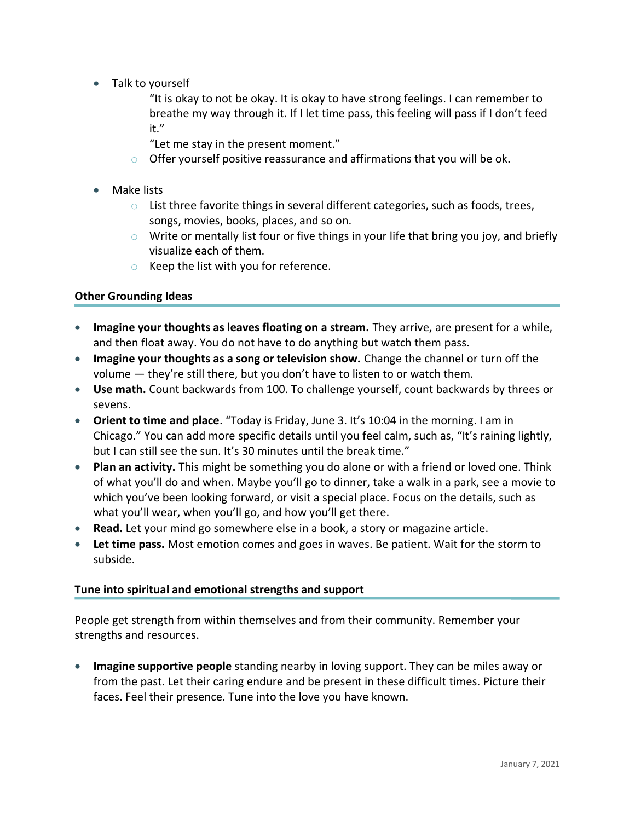• Talk to yourself

"It is okay to not be okay. It is okay to have strong feelings. I can remember to breathe my way through it. If I let time pass, this feeling will pass if I don't feed it."

- "Let me stay in the present moment."
- o Offer yourself positive reassurance and affirmations that you will be ok.
- Make lists
	- o List three favorite things in several different categories, such as foods, trees, songs, movies, books, places, and so on.
	- $\circ$  Write or mentally list four or five things in your life that bring you joy, and briefly visualize each of them.
	- o Keep the list with you for reference.

## **Other Grounding Ideas**

- **Imagine your thoughts as leaves floating on a stream.** They arrive, are present for a while, and then float away. You do not have to do anything but watch them pass.
- **Imagine your thoughts as a song or television show.** Change the channel or turn off the volume — they're still there, but you don't have to listen to or watch them.
- **Use math.** Count backwards from 100. To challenge yourself, count backwards by threes or sevens.
- **Orient to time and place**. "Today is Friday, June 3. It's 10:04 in the morning. I am in Chicago." You can add more specific details until you feel calm, such as, "It's raining lightly, but I can still see the sun. It's 30 minutes until the break time."
- **Plan an activity.** This might be something you do alone or with a friend or loved one. Think of what you'll do and when. Maybe you'll go to dinner, take a walk in a park, see a movie to which you've been looking forward, or visit a special place. Focus on the details, such as what you'll wear, when you'll go, and how you'll get there.
- **Read.** Let your mind go somewhere else in a book, a story or magazine article.
- **Let time pass.** Most emotion comes and goes in waves. Be patient. Wait for the storm to subside.

# **Tune into spiritual and emotional strengths and support**

People get strength from within themselves and from their community. Remember your strengths and resources.

• **Imagine supportive people** standing nearby in loving support. They can be miles away or from the past. Let their caring endure and be present in these difficult times. Picture their faces. Feel their presence. Tune into the love you have known.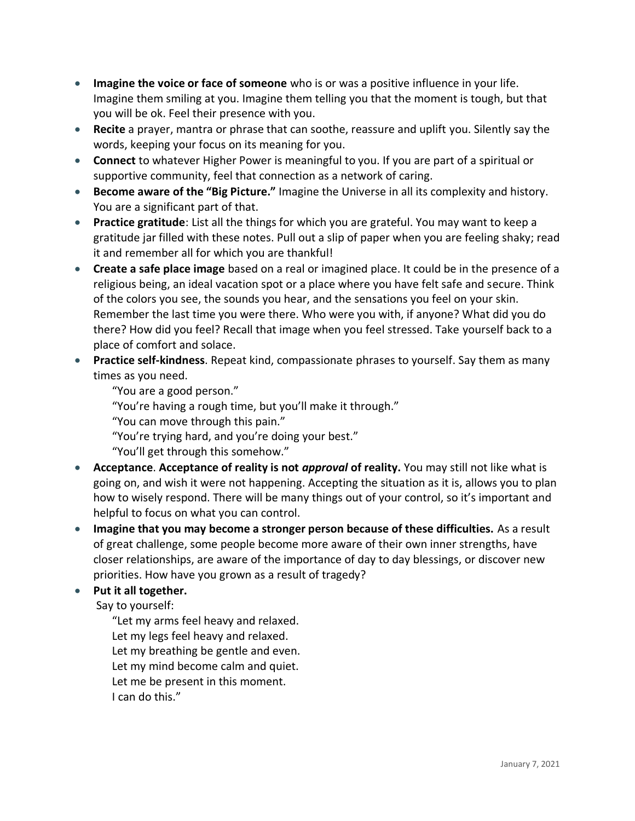- **Imagine the voice or face of someone** who is or was a positive influence in your life. Imagine them smiling at you. Imagine them telling you that the moment is tough, but that you will be ok. Feel their presence with you.
- **Recite** a prayer, mantra or phrase that can soothe, reassure and uplift you. Silently say the words, keeping your focus on its meaning for you.
- **Connect** to whatever Higher Power is meaningful to you. If you are part of a spiritual or supportive community, feel that connection as a network of caring.
- **Become aware of the "Big Picture."** Imagine the Universe in all its complexity and history. You are a significant part of that.
- **Practice gratitude**: List all the things for which you are grateful. You may want to keep a gratitude jar filled with these notes. Pull out a slip of paper when you are feeling shaky; read it and remember all for which you are thankful!
- **Create a safe place image** based on a real or imagined place. It could be in the presence of a religious being, an ideal vacation spot or a place where you have felt safe and secure. Think of the colors you see, the sounds you hear, and the sensations you feel on your skin. Remember the last time you were there. Who were you with, if anyone? What did you do there? How did you feel? Recall that image when you feel stressed. Take yourself back to a place of comfort and solace.
- **Practice self-kindness**. Repeat kind, compassionate phrases to yourself. Say them as many times as you need.
	- "You are a good person."
	- "You're having a rough time, but you'll make it through."
	- "You can move through this pain."
	- "You're trying hard, and you're doing your best."
	- "You'll get through this somehow."
- **Acceptance**. **Acceptance of reality is not** *approval* **of reality.** You may still not like what is going on, and wish it were not happening. Accepting the situation as it is, allows you to plan how to wisely respond. There will be many things out of your control, so it's important and helpful to focus on what you can control.
- **Imagine that you may become a stronger person because of these difficulties.** As a result of great challenge, some people become more aware of their own inner strengths, have closer relationships, are aware of the importance of day to day blessings, or discover new priorities. How have you grown as a result of tragedy?
- **Put it all together.**

Say to yourself:

"Let my arms feel heavy and relaxed. Let my legs feel heavy and relaxed. Let my breathing be gentle and even. Let my mind become calm and quiet. Let me be present in this moment. I can do this."